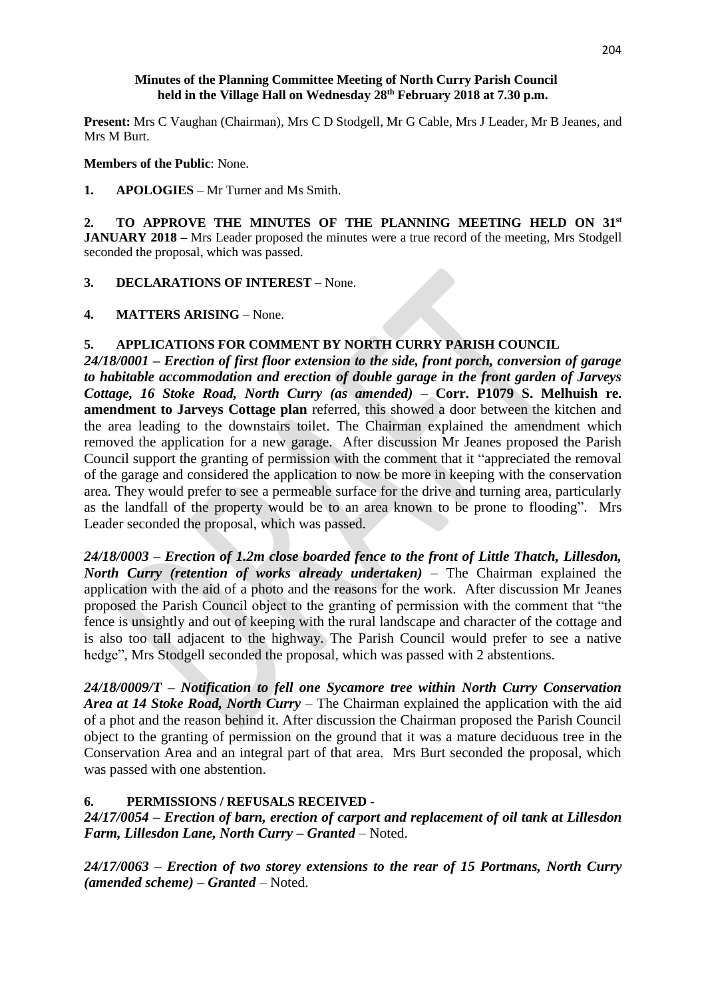#### **Minutes of the Planning Committee Meeting of North Curry Parish Council held in the Village Hall on Wednesday 28th February 2018 at 7.30 p.m.**

**Present:** Mrs C Vaughan (Chairman), Mrs C D Stodgell, Mr G Cable, Mrs J Leader, Mr B Jeanes, and Mrs M Burt.

**Members of the Public**: None.

**1. APOLOGIES** – Mr Turner and Ms Smith.

**2. TO APPROVE THE MINUTES OF THE PLANNING MEETING HELD ON 31st JANUARY 2018 –** Mrs Leader proposed the minutes were a true record of the meeting, Mrs Stodgell seconded the proposal, which was passed.

**3. DECLARATIONS OF INTEREST –** None.

**4. MATTERS ARISING** – None.

### **5. APPLICATIONS FOR COMMENT BY NORTH CURRY PARISH COUNCIL**

*24/18/0001 – Erection of first floor extension to the side, front porch, conversion of garage to habitable accommodation and erection of double garage in the front garden of Jarveys Cottage, 16 Stoke Road, North Curry (as amended) –* **Corr. P1079 S. Melhuish re. amendment to Jarveys Cottage plan** referred, this showed a door between the kitchen and the area leading to the downstairs toilet. The Chairman explained the amendment which removed the application for a new garage. After discussion Mr Jeanes proposed the Parish Council support the granting of permission with the comment that it "appreciated the removal of the garage and considered the application to now be more in keeping with the conservation area. They would prefer to see a permeable surface for the drive and turning area, particularly as the landfall of the property would be to an area known to be prone to flooding". Mrs Leader seconded the proposal, which was passed.

*24/18/0003 – Erection of 1.2m close boarded fence to the front of Little Thatch, Lillesdon, North Curry (retention of works already undertaken)* – The Chairman explained the application with the aid of a photo and the reasons for the work. After discussion Mr Jeanes proposed the Parish Council object to the granting of permission with the comment that "the fence is unsightly and out of keeping with the rural landscape and character of the cottage and is also too tall adjacent to the highway. The Parish Council would prefer to see a native hedge", Mrs Stodgell seconded the proposal, which was passed with 2 abstentions.

*24/18/0009/T – Notification to fell one Sycamore tree within North Curry Conservation Area at 14 Stoke Road, North Curry* – The Chairman explained the application with the aid of a phot and the reason behind it. After discussion the Chairman proposed the Parish Council object to the granting of permission on the ground that it was a mature deciduous tree in the Conservation Area and an integral part of that area. Mrs Burt seconded the proposal, which was passed with one abstention.

# **6. PERMISSIONS / REFUSALS RECEIVED -**

*24/17/0054 – Erection of barn, erection of carport and replacement of oil tank at Lillesdon Farm, Lillesdon Lane, North Curry – Granted* – Noted.

*24/17/0063 – Erection of two storey extensions to the rear of 15 Portmans, North Curry (amended scheme) – Granted* – Noted.